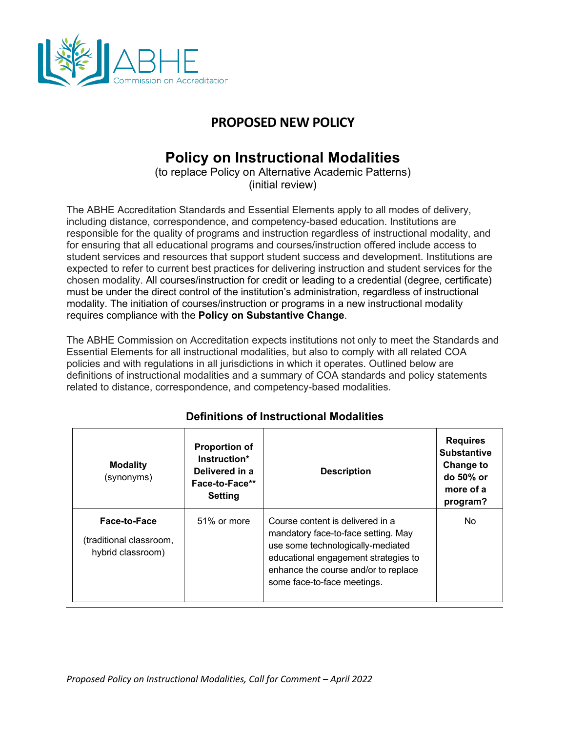

## **PROPOSED NEW POLICY**

# **Policy on Instructional Modalities**

(to replace Policy on Alternative Academic Patterns) (initial review)

The ABHE Accreditation Standards and Essential Elements apply to all modes of delivery, including distance, correspondence, and competency-based education. Institutions are responsible for the quality of programs and instruction regardless of instructional modality, and for ensuring that all educational programs and courses/instruction offered include access to student services and resources that support student success and development. Institutions are expected to refer to current best practices for delivering instruction and student services for the chosen modality. All courses/instruction for credit or leading to a credential (degree, certificate) must be under the direct control of the institution's administration, regardless of instructional modality. The initiation of courses/instruction or programs in a new instructional modality requires compliance with the **Policy on Substantive Change**.

The ABHE Commission on Accreditation expects institutions not only to meet the Standards and Essential Elements for all instructional modalities, but also to comply with all related COA policies and with regulations in all jurisdictions in which it operates. Outlined below are definitions of instructional modalities and a summary of COA standards and policy statements related to distance, correspondence, and competency-based modalities.

| <b>Modality</b><br>(synonyms)                                | <b>Proportion of</b><br>Instruction*<br>Delivered in a<br>Face-to-Face**<br><b>Setting</b> | <b>Description</b>                                                                                                                                                                                                          | <b>Requires</b><br><b>Substantive</b><br>Change to<br>do 50% or<br>more of a<br>program? |
|--------------------------------------------------------------|--------------------------------------------------------------------------------------------|-----------------------------------------------------------------------------------------------------------------------------------------------------------------------------------------------------------------------------|------------------------------------------------------------------------------------------|
| Face-to-Face<br>(traditional classroom,<br>hybrid classroom) | 51% or more                                                                                | Course content is delivered in a<br>mandatory face-to-face setting. May<br>use some technologically-mediated<br>educational engagement strategies to<br>enhance the course and/or to replace<br>some face-to-face meetings. | No.                                                                                      |

### **Definitions of Instructional Modalities**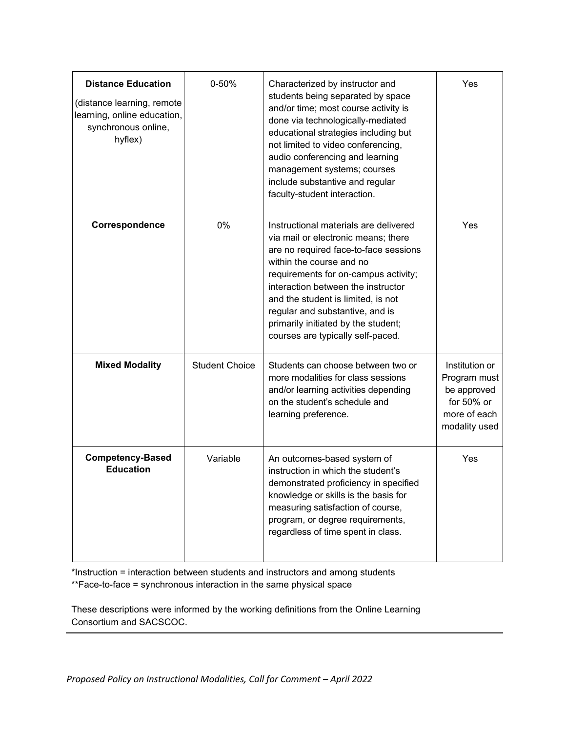| <b>Distance Education</b><br>(distance learning, remote<br>learning, online education,<br>synchronous online,<br>hyflex) | 0-50%                 | Characterized by instructor and<br>students being separated by space<br>and/or time; most course activity is<br>done via technologically-mediated<br>educational strategies including but<br>not limited to video conferencing,<br>audio conferencing and learning<br>management systems; courses<br>include substantive and regular<br>faculty-student interaction.                 | Yes                                                                                          |
|--------------------------------------------------------------------------------------------------------------------------|-----------------------|--------------------------------------------------------------------------------------------------------------------------------------------------------------------------------------------------------------------------------------------------------------------------------------------------------------------------------------------------------------------------------------|----------------------------------------------------------------------------------------------|
| Correspondence                                                                                                           | 0%                    | Instructional materials are delivered<br>via mail or electronic means; there<br>are no required face-to-face sessions<br>within the course and no<br>requirements for on-campus activity;<br>interaction between the instructor<br>and the student is limited, is not<br>regular and substantive, and is<br>primarily initiated by the student;<br>courses are typically self-paced. | Yes                                                                                          |
| <b>Mixed Modality</b>                                                                                                    | <b>Student Choice</b> | Students can choose between two or<br>more modalities for class sessions<br>and/or learning activities depending<br>on the student's schedule and<br>learning preference.                                                                                                                                                                                                            | Institution or<br>Program must<br>be approved<br>for 50% or<br>more of each<br>modality used |
| <b>Competency-Based</b><br><b>Education</b>                                                                              | Variable              | An outcomes-based system of<br>instruction in which the student's<br>demonstrated proficiency in specified<br>knowledge or skills is the basis for<br>measuring satisfaction of course,<br>program, or degree requirements,<br>regardless of time spent in class.                                                                                                                    | Yes                                                                                          |

\*Instruction = interaction between students and instructors and among students \*\*Face-to-face = synchronous interaction in the same physical space

These descriptions were informed by the working definitions from the Online Learning Consortium and SACSCOC.